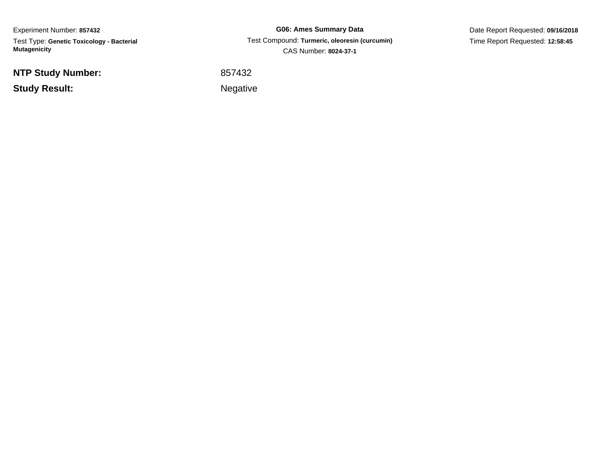Experiment Number: **857432** Test Type: **Genetic Toxicology - Bacterial Mutagenicity**

**NTP Study Number:**

**Study Result:**

**G06: Ames Summary Data** Test Compound: **Turmeric, oleoresin (curcumin)**CAS Number: **8024-37-1**

Date Report Requested: **09/16/2018**Time Report Requested: **12:58:45**

<sup>857432</sup>

Negative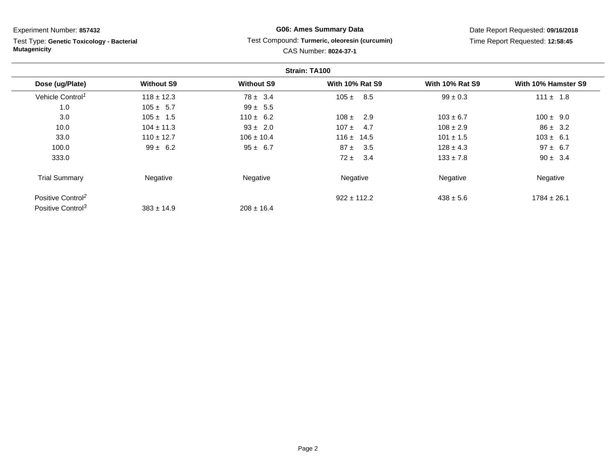Test Type: **Genetic Toxicology - Bacterial Mutagenicity**

## **G06: Ames Summary Data**Test Compound: **Turmeric, oleoresin (curcumin)**

Date Report Requested: **09/16/2018**Time Report Requested: **12:58:45**

# CAS Number: **8024-37-1**

|                               | Strain: TA100     |                   |                        |                        |                     |
|-------------------------------|-------------------|-------------------|------------------------|------------------------|---------------------|
| Dose (ug/Plate)               | <b>Without S9</b> | <b>Without S9</b> | <b>With 10% Rat S9</b> | <b>With 10% Rat S9</b> | With 10% Hamster S9 |
| Vehicle Control <sup>1</sup>  | $118 \pm 12.3$    | $78 \pm 3.4$      | $105 \pm$<br>8.5       | $99 \pm 0.3$           | $111 \pm 1.8$       |
| 1.0                           | $105 \pm 5.7$     | $99 \pm 5.5$      |                        |                        |                     |
| 3.0                           | $105 \pm 1.5$     | $110 \pm 6.2$     | 2.9<br>$108 \pm$       | $103 \pm 6.7$          | $100 \pm 9.0$       |
| 10.0                          | $104 \pm 11.3$    | $93 \pm 2.0$      | $107 +$<br>4.7         | $108 \pm 2.9$          | $86 \pm 3.2$        |
| 33.0                          | $110 \pm 12.7$    | $106 \pm 10.4$    | $116 \pm 14.5$         | $101 \pm 1.5$          | $103 \pm 6.1$       |
| 100.0                         | $99 \pm 6.2$      | $95 \pm 6.7$      | $87 \pm$<br>3.5        | $128 \pm 4.3$          | $97 \pm 6.7$        |
| 333.0                         |                   |                   | 3.4<br>$72 \pm$        | $133 \pm 7.8$          | $90 \pm 3.4$        |
| <b>Trial Summary</b>          | Negative          | Negative          | Negative               | Negative               | Negative            |
| Positive Control <sup>2</sup> |                   |                   | $922 \pm 112.2$        | $438 \pm 5.6$          | $1784 \pm 26.1$     |
| Positive Control <sup>3</sup> | $383 \pm 14.9$    | $208 \pm 16.4$    |                        |                        |                     |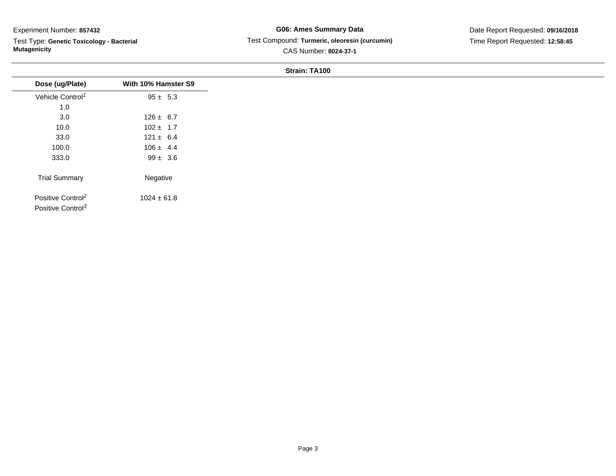Test Type: **Genetic Toxicology - Bacterial Mutagenicity**

## **G06: Ames Summary Data** Test Compound: **Turmeric, oleoresin (curcumin)**CAS Number: **8024-37-1**

Date Report Requested: **09/16/2018**Time Report Requested: **12:58:45**

| Dose (ug/Plate)               | With 10% Hamster S9 |
|-------------------------------|---------------------|
| Vehicle Control <sup>1</sup>  | $95 \pm 5.3$        |
| 1.0                           |                     |
| 3.0                           | $126 \pm 6.7$       |
| 10.0                          | $102 \pm 1.7$       |
| 33.0                          | $121 \pm 6.4$       |
| 100.0                         | $106 \pm 4.4$       |
| 333.0                         | $99 \pm 3.6$        |
| <b>Trial Summary</b>          | Negative            |
| Positive Control <sup>2</sup> | $1024 \pm 61.8$     |
| Positive Control <sup>3</sup> |                     |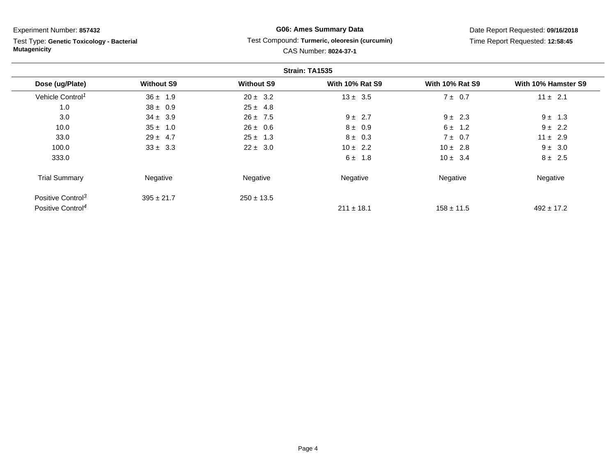Test Type: **Genetic Toxicology - Bacterial Mutagenicity**

# **G06: Ames Summary Data**

Date Report Requested: **09/16/2018**Time Report Requested: **12:58:45**

#### Test Compound: **Turmeric, oleoresin (curcumin)** $C$ <sup>AC</sup> Number

|  | CAS Number: 8024-37-1 |
|--|-----------------------|
|  |                       |

| Strain: TA1535                |                   |                   |                        |                        |                     |
|-------------------------------|-------------------|-------------------|------------------------|------------------------|---------------------|
| Dose (ug/Plate)               | <b>Without S9</b> | <b>Without S9</b> | <b>With 10% Rat S9</b> | <b>With 10% Rat S9</b> | With 10% Hamster S9 |
| Vehicle Control <sup>1</sup>  | $36 \pm 1.9$      | $20 \pm 3.2$      | $13 \pm 3.5$           | $7 \pm 0.7$            | $11 \pm 2.1$        |
| 1.0                           | $38 \pm 0.9$      | $25 \pm 4.8$      |                        |                        |                     |
| 3.0                           | $34 \pm 3.9$      | $26 \pm 7.5$      | $9 \pm 2.7$            | $9 \pm 2.3$            | $9 \pm 1.3$         |
| 10.0                          | $35 \pm 1.0$      | $26 \pm 0.6$      | $8 \pm 0.9$            | $6 \pm 1.2$            | $9 \pm 2.2$         |
| 33.0                          | $29 \pm 4.7$      | $25 \pm 1.3$      | $8 \pm 0.3$            | $7 \pm 0.7$            | $11 \pm 2.9$        |
| 100.0                         | $33 \pm 3.3$      | $22 \pm 3.0$      | $10 \pm 2.2$           | $10 \pm 2.8$           | $9 \pm 3.0$         |
| 333.0                         |                   |                   | $6 \pm 1.8$            | $10 \pm 3.4$           | $8 \pm 2.5$         |
| <b>Trial Summary</b>          | Negative          | Negative          | Negative               | Negative               | Negative            |
| Positive Control <sup>3</sup> | $395 \pm 21.7$    | $250 \pm 13.5$    |                        |                        |                     |
| Positive Control <sup>4</sup> |                   |                   | $211 \pm 18.1$         | $158 \pm 11.5$         | $492 \pm 17.2$      |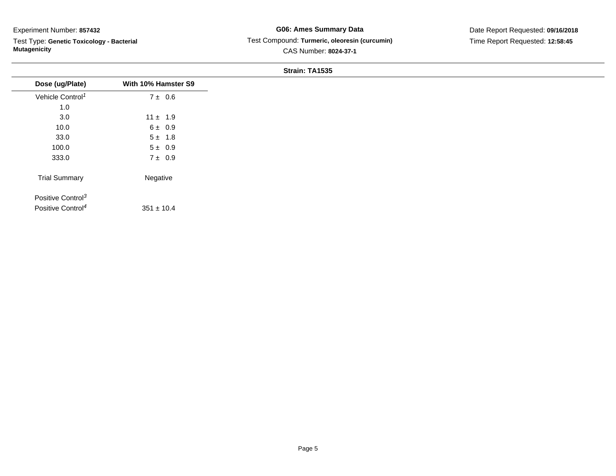$\overline{\phantom{a}}$ 

Test Type: **Genetic Toxicology - Bacterial Mutagenicity**

## **G06: Ames Summary Data** Test Compound: **Turmeric, oleoresin (curcumin)**CAS Number: **8024-37-1**

Date Report Requested: **09/16/2018**Time Report Requested: **12:58:45**

|                               |                     | <b>Sudill. TA1939</b> |
|-------------------------------|---------------------|-----------------------|
| Dose (ug/Plate)               | With 10% Hamster S9 |                       |
| Vehicle Control <sup>1</sup>  | $7 \pm 0.6$         |                       |
| 1.0                           |                     |                       |
| 3.0                           | $11 \pm 1.9$        |                       |
| 10.0                          | $6 \pm 0.9$         |                       |
| 33.0                          | $5 \pm 1.8$         |                       |
| 100.0                         | $5 \pm 0.9$         |                       |
| 333.0                         | $7 \pm 0.9$         |                       |
| <b>Trial Summary</b>          | Negative            |                       |
| Positive Control <sup>3</sup> |                     |                       |
| Positive Control <sup>4</sup> | $351 \pm 10.4$      |                       |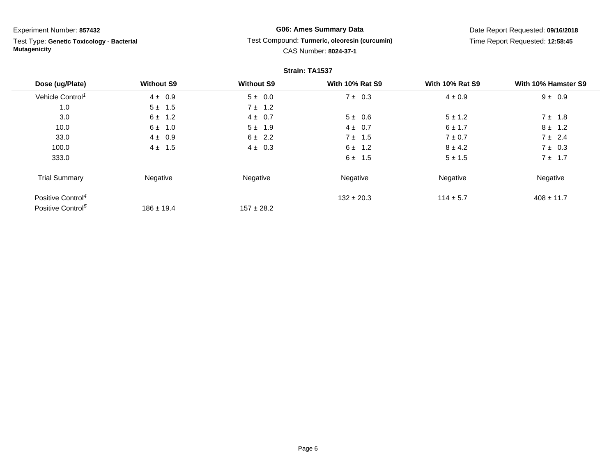Test Type: **Genetic Toxicology - Bacterial Mutagenicity**

## **G06: Ames Summary Data**Test Compound: **Turmeric, oleoresin (curcumin)**

Date Report Requested: **09/16/2018**Time Report Requested: **12:58:45**

# CAS Number: **8024-37-1**

| Strain: TA1537                |                   |                   |                        |                        |                     |
|-------------------------------|-------------------|-------------------|------------------------|------------------------|---------------------|
| Dose (ug/Plate)               | <b>Without S9</b> | <b>Without S9</b> | <b>With 10% Rat S9</b> | <b>With 10% Rat S9</b> | With 10% Hamster S9 |
| Vehicle Control <sup>1</sup>  | $4 \pm 0.9$       | $5 \pm 0.0$       | $7 \pm 0.3$            | $4 \pm 0.9$            | $9 \pm 0.9$         |
| 1.0                           | $5 \pm 1.5$       | $7 \pm 1.2$       |                        |                        |                     |
| 3.0                           | $6 \pm 1.2$       | $4 \pm 0.7$       | $5 \pm 0.6$            | $5 \pm 1.2$            | $7 \pm 1.8$         |
| 10.0                          | $6 \pm 1.0$       | $5 \pm 1.9$       | $4 \pm 0.7$            | $6 \pm 1.7$            | $8 \pm 1.2$         |
| 33.0                          | $4 \pm 0.9$       | $6 \pm 2.2$       | $7 \pm 1.5$            | $7 \pm 0.7$            | $7 \pm 2.4$         |
| 100.0                         | $4 \pm 1.5$       | $4 \pm 0.3$       | $6 \pm 1.2$            | $8 \pm 4.2$            | $7 \pm 0.3$         |
| 333.0                         |                   |                   | $6 \pm 1.5$            | $5 \pm 1.5$            | $7 \pm 1.7$         |
| <b>Trial Summary</b>          | Negative          | Negative          | Negative               | Negative               | Negative            |
| Positive Control <sup>4</sup> |                   |                   | $132 \pm 20.3$         | $114 \pm 5.7$          | $408 \pm 11.7$      |
| Positive Control <sup>5</sup> | $186 \pm 19.4$    | $157 \pm 28.2$    |                        |                        |                     |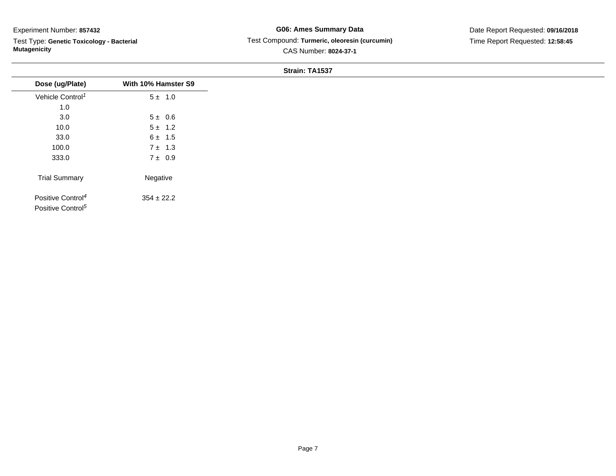Test Type: **Genetic Toxicology - Bacterial Mutagenicity**

## **G06: Ames Summary Data** Test Compound: **Turmeric, oleoresin (curcumin)**CAS Number: **8024-37-1**

| Dose (ug/Plate)                                                | With 10% Hamster S9 |
|----------------------------------------------------------------|---------------------|
| Vehicle Control <sup>1</sup>                                   | $5 \pm 1.0$         |
| 1.0                                                            |                     |
| 3.0                                                            | $5 \pm 0.6$         |
| 10.0                                                           | $5 \pm 1.2$         |
| 33.0                                                           | $6 \pm 1.5$         |
| 100.0                                                          | $7 \pm 1.3$         |
| 333.0                                                          | $7 \pm 0.9$         |
| <b>Trial Summary</b>                                           | Negative            |
| Positive Control <sup>4</sup><br>Positive Control <sup>5</sup> | $354 \pm 22.2$      |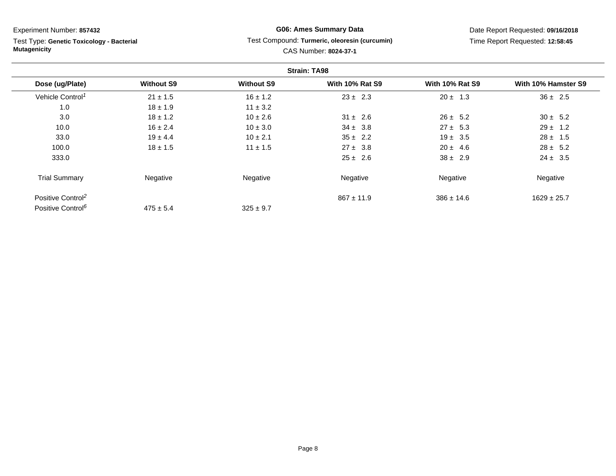Test Type: **Genetic Toxicology - Bacterial Mutagenicity**

## **G06: Ames Summary Data**Test Compound: **Turmeric, oleoresin (curcumin)**

CAS Number: **8024-37-1**

Date Report Requested: **09/16/2018**Time Report Requested: **12:58:45**

| <b>Strain: TA98</b>           |                   |                   |                        |                        |                     |
|-------------------------------|-------------------|-------------------|------------------------|------------------------|---------------------|
| Dose (ug/Plate)               | <b>Without S9</b> | <b>Without S9</b> | <b>With 10% Rat S9</b> | <b>With 10% Rat S9</b> | With 10% Hamster S9 |
| Vehicle Control <sup>1</sup>  | $21 \pm 1.5$      | $16 \pm 1.2$      | $23 \pm 2.3$           | $20 \pm 1.3$           | $36 \pm 2.5$        |
| 1.0                           | $18 \pm 1.9$      | $11 \pm 3.2$      |                        |                        |                     |
| 3.0                           | $18 \pm 1.2$      | $10 \pm 2.6$      | $31 \pm 2.6$           | $26 \pm 5.2$           | $30 \pm 5.2$        |
| 10.0                          | $16 \pm 2.4$      | $10 \pm 3.0$      | $34 \pm 3.8$           | $27 \pm 5.3$           | $29 \pm 1.2$        |
| 33.0                          | $19 \pm 4.4$      | $10 \pm 2.1$      | $35 \pm 2.2$           | $19 \pm 3.5$           | $28 \pm 1.5$        |
| 100.0                         | $18 \pm 1.5$      | $11 \pm 1.5$      | $27 \pm 3.8$           | $20 \pm 4.6$           | $28 \pm 5.2$        |
| 333.0                         |                   |                   | $25 \pm 2.6$           | $38 \pm 2.9$           | $24 \pm 3.5$        |
| <b>Trial Summary</b>          | Negative          | Negative          | Negative               | Negative               | Negative            |
| Positive Control <sup>2</sup> |                   |                   | $867 \pm 11.9$         | $386 \pm 14.6$         | $1629 \pm 25.7$     |
| Positive Control <sup>6</sup> | $475 \pm 5.4$     | $325 \pm 9.7$     |                        |                        |                     |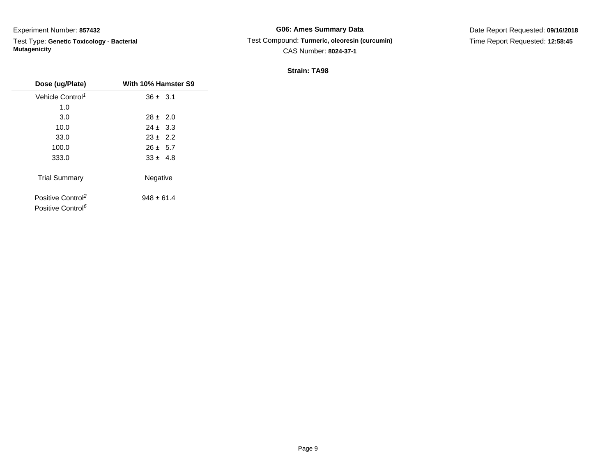Test Type: **Genetic Toxicology - Bacterial Mutagenicity**

**G06: Ames Summary Data** Test Compound: **Turmeric, oleoresin (curcumin)**CAS Number: **8024-37-1**

Date Report Requested: **09/16/2018**Time Report Requested: **12:58:45**

|                                                                |                     | <b>JUQUIL IAJU</b> |
|----------------------------------------------------------------|---------------------|--------------------|
| Dose (ug/Plate)                                                | With 10% Hamster S9 |                    |
| Vehicle Control <sup>1</sup>                                   | $36 \pm 3.1$        |                    |
| 1.0                                                            |                     |                    |
| $3.0\,$                                                        | $28 \pm 2.0$        |                    |
| 10.0                                                           | $24 \pm 3.3$        |                    |
| 33.0                                                           | $23 \pm 2.2$        |                    |
| 100.0                                                          | $26 \pm 5.7$        |                    |
| 333.0                                                          | $33 \pm 4.8$        |                    |
| <b>Trial Summary</b>                                           | Negative            |                    |
| Positive Control <sup>2</sup><br>Positive Control <sup>6</sup> | $948 \pm 61.4$      |                    |